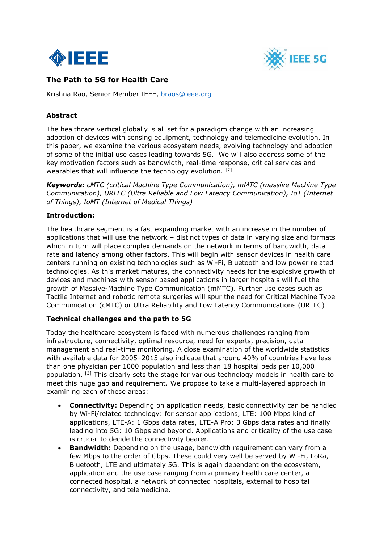



# **The Path to 5G for Health Care**

Krishna Rao, Senior Member IEEE, [braos@ieee.org](mailto:braos@ieee.org)

### **Abstract**

The healthcare vertical globally is all set for a paradigm change with an increasing adoption of devices with sensing equipment, technology and telemedicine evolution. In this paper, we examine the various ecosystem needs, evolving technology and adoption of some of the initial use cases leading towards 5G. We will also address some of the key motivation factors such as bandwidth, real-time response, critical services and wearables that will influence the technology evolution. [2]

*Keywords: cMTC (critical Machine Type Communication), mMTC (massive Machine Type Communication), URLLC (Ultra Reliable and Low Latency Communication), IoT (Internet of Things), IoMT (Internet of Medical Things)*

#### **Introduction:**

The healthcare segment is a fast expanding market with an increase in the number of applications that will use the network – distinct types of data in varying size and formats which in turn will place complex demands on the network in terms of bandwidth, data rate and latency among other factors. This will begin with sensor devices in health care centers running on existing technologies such as Wi-Fi, Bluetooth and low power related technologies. As this market matures, the connectivity needs for the explosive growth of devices and machines with sensor based applications in larger hospitals will fuel the growth of Massive-Machine Type Communication (mMTC). Further use cases such as Tactile Internet and robotic remote surgeries will spur the need for Critical Machine Type Communication (cMTC) or Ultra Reliability and Low Latency Communications (URLLC)

#### **Technical challenges and the path to 5G**

Today the healthcare ecosystem is faced with numerous challenges ranging from infrastructure, connectivity, optimal resource, need for experts, precision, data management and real-time monitoring. A close examination of the worldwide statistics with available data for 2005–2015 also indicate that around 40% of countries have less than one physician per 1000 population and less than 18 hospital beds per 10,000 population. <sup>[3]</sup> This clearly sets the stage for various technology models in health care to meet this huge gap and requirement. We propose to take a multi-layered approach in examining each of these areas:

- **Connectivity:** Depending on application needs, basic connectivity can be handled by Wi-Fi/related technology: for sensor applications, LTE: 100 Mbps kind of applications, LTE-A: 1 Gbps data rates, LTE-A Pro: 3 Gbps data rates and finally leading into 5G: 10 Gbps and beyond. Applications and criticality of the use case is crucial to decide the connectivity bearer.
- **Bandwidth:** Depending on the usage, bandwidth requirement can vary from a few Mbps to the order of Gbps. These could very well be served by Wi-Fi, LoRa, Bluetooth, LTE and ultimately 5G. This is again dependent on the ecosystem, application and the use case ranging from a primary health care center, a connected hospital, a network of connected hospitals, external to hospital connectivity, and telemedicine.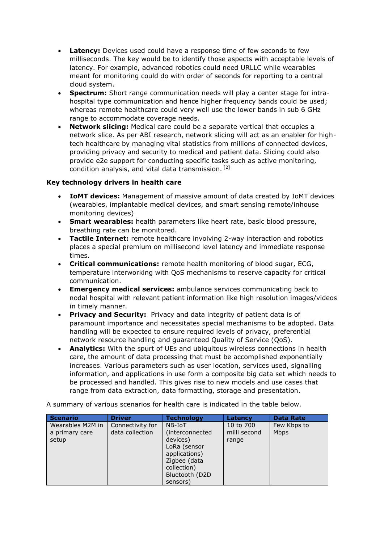- **Latency:** Devices used could have a response time of few seconds to few milliseconds. The key would be to identify those aspects with acceptable levels of latency. For example, advanced robotics could need URLLC while wearables meant for monitoring could do with order of seconds for reporting to a central cloud system.
- **Spectrum:** Short range communication needs will play a center stage for intrahospital type communication and hence higher frequency bands could be used; whereas remote healthcare could very well use the lower bands in sub 6 GHz range to accommodate coverage needs.
- **Network slicing:** Medical care could be a separate vertical that occupies a network slice. As per ABI research, network slicing will act as an enabler for hightech healthcare by managing vital statistics from millions of connected devices, providing privacy and security to medical and patient data. Slicing could also provide e2e support for conducting specific tasks such as active monitoring, condition analysis, and vital data transmission. [2]

#### **Key technology drivers in health care**

- **IoMT devices:** Management of massive amount of data created by IoMT devices (wearables, implantable medical devices, and smart sensing remote/inhouse monitoring devices)
- **Smart wearables:** health parameters like heart rate, basic blood pressure, breathing rate can be monitored.
- **Tactile Internet:** remote healthcare involving 2-way interaction and robotics places a special premium on millisecond level latency and immediate response times.
- **Critical communications:** remote health monitoring of blood sugar, ECG, temperature interworking with QoS mechanisms to reserve capacity for critical communication.
- **Emergency medical services:** ambulance services communicating back to nodal hospital with relevant patient information like high resolution images/videos in timely manner.
- **Privacy and Security:** Privacy and data integrity of patient data is of paramount importance and necessitates special mechanisms to be adopted. Data handling will be expected to ensure required levels of privacy, preferential network resource handling and guaranteed Quality of Service (QoS).
- **Analytics:** With the spurt of UEs and ubiquitous wireless connections in health care, the amount of data processing that must be accomplished exponentially increases. Various parameters such as user location, services used, signalling information, and applications in use form a composite big data set which needs to be processed and handled. This gives rise to new models and use cases that range from data extraction, data formatting, storage and presentation.

| <b>Scenario</b>                             | <b>Driver</b>                       | <b>Technology</b>                                                      | Latency                            | <b>Data Rate</b>           |
|---------------------------------------------|-------------------------------------|------------------------------------------------------------------------|------------------------------------|----------------------------|
| Wearables M2M in<br>a primary care<br>setup | Connectivity for<br>data collection | NB-IoT<br>(interconnected<br>devices)<br>LoRa (sensor<br>applications) | 10 to 700<br>milli second<br>range | Few Kbps to<br><b>Mbps</b> |
|                                             |                                     | Zigbee (data<br>collection)<br>Bluetooth (D2D)<br>sensors)             |                                    |                            |

A summary of various scenarios for health care is indicated in the table below.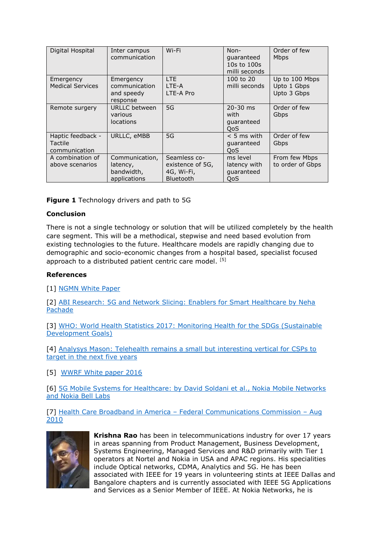| Digital Hospital                              | Inter campus<br>communication                            | Wi-Fi                                                              | Non-<br>quaranteed<br>10s to 100s<br>milli seconds | Order of few<br>Mbps                         |
|-----------------------------------------------|----------------------------------------------------------|--------------------------------------------------------------------|----------------------------------------------------|----------------------------------------------|
| Emergency<br><b>Medical Services</b>          | Emergency<br>communication<br>and speedy<br>response     | LTE.<br>I TF-A<br>LTE-A Pro                                        | 100 to 20<br>milli seconds                         | Up to 100 Mbps<br>Upto 1 Gbps<br>Upto 3 Gbps |
| Remote surgery                                | URLLC between<br>various<br><b>locations</b>             | 5G                                                                 | $20 - 30$ ms<br>with<br>quaranteed<br>0oS          | Order of few<br>Gbps                         |
| Haptic feedback -<br>Tactile<br>communication | URLLC, eMBB                                              | 5G                                                                 | $< 5$ ms with<br>quaranteed<br>OoS.                | Order of few<br>Gbps                         |
| A combination of<br>above scenarios           | Communication,<br>latency,<br>bandwidth,<br>applications | Seamless co-<br>existence of 5G,<br>4G, Wi-Fi,<br><b>Bluetooth</b> | ms level<br>latency with<br>quaranteed<br>OoS      | From few Mbps<br>to order of Gbps            |

**Figure 1** Technology drivers and path to 5G

## **Conclusion**

There is not a single technology or solution that will be utilized completely by the health care segment. This will be a methodical, stepwise and need based evolution from existing technologies to the future. Healthcare models are rapidly changing due to demographic and socio-economic changes from a hospital based, specialist focused approach to a distributed patient centric care model. [5]

#### **References**

[1] [NGMN White Paper](https://www.ngmn.org/uploads/media/NGMN_5G_White_Paper_V1_0.pdf)

[2] [ABI Research: 5G and Network Slicing: Enablers for Smart Healthcare by Neha](https://www.abiresearch.com/market-research/product/1028666-5g-and-network-slicing-enablers-for-smart-/)  [Pachade](https://www.abiresearch.com/market-research/product/1028666-5g-and-network-slicing-enablers-for-smart-/)

[3] [WHO: World Health Statistics 2017: Monitoring Health for the SDGs \(Sustainable](http://www.who.int/gho/publications/world_health_statistics/2017/en/)  [Development Goals\)](http://www.who.int/gho/publications/world_health_statistics/2017/en/)

[4] Analysys Mason: Telehealth remains a small but interesting vertical for CSPs to [target in the next five years](http://www.analysysmason.com/About-Us/News/Insight/Telehealth-CSPs-Feb2016/)

[5] [WWRF White paper 2016](http://www.wwrf.ch/files/wwrf/content/files/publications/outlook/Outlook17.pdf)

[6] [5G Mobile Systems for Healthcare: by David Soldani et al., Nokia Mobile Networks](http://ieeexplore.ieee.org/stamp/stamp.jsp?arnumber=8108602)  [and Nokia Bell Labs](http://ieeexplore.ieee.org/stamp/stamp.jsp?arnumber=8108602)

[7] Health Care Broadband in America – [Federal Communications Commission](https://transition.fcc.gov/national-broadband-plan/health-care-broadband-in-america-paper.pdf) – Aug [2010](https://transition.fcc.gov/national-broadband-plan/health-care-broadband-in-america-paper.pdf)



**Krishna Rao** has been in telecommunications industry for over 17 years in areas spanning from Product Management, Business Development, Systems Engineering, Managed Services and R&D primarily with Tier 1 operators at Nortel and Nokia in USA and APAC regions. His specialities include Optical networks, CDMA, Analytics and 5G. He has been associated with IEEE for 19 years in volunteering stints at IEEE Dallas and Bangalore chapters and is currently associated with IEEE 5G Applications and Services as a Senior Member of IEEE. At Nokia Networks, he is